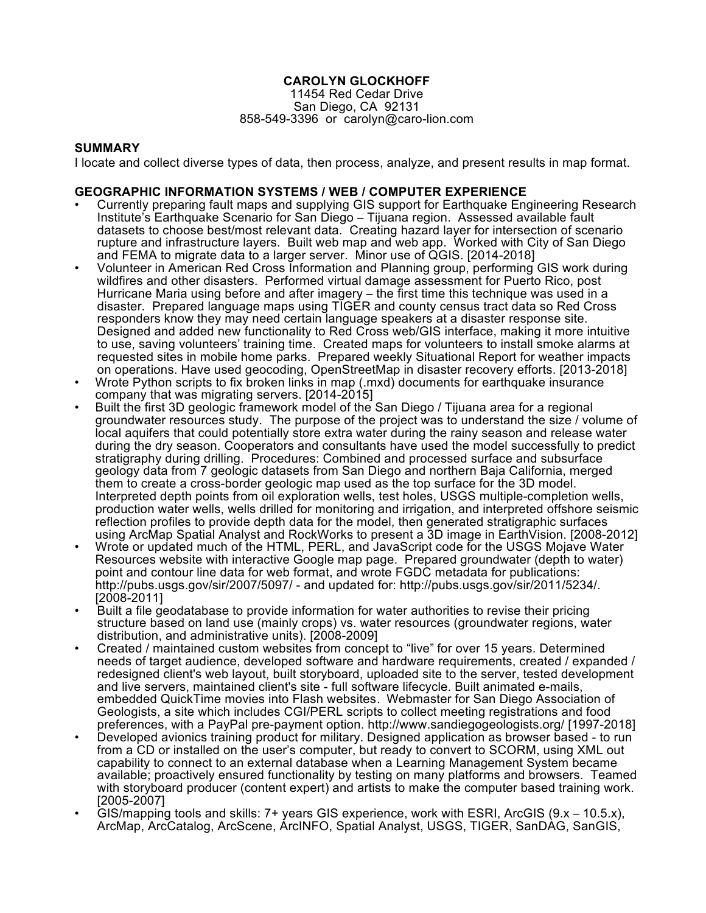# **CAROLYN GLOCKHOFF**

11454 Red Cedar Drive San Diego, CA 92131 858-549-3396 or carolyn@caro-lion.com

## **SUMMARY**

I locate and collect diverse types of data, then process, analyze, and present results in map format.

## **GEOGRAPHIC INFORMATION SYSTEMS / WEB / COMPUTER EXPERIENCE**

- Currently preparing fault maps and supplying GIS support for Earthquake Engineering Research Institute's Earthquake Scenario for San Diego – Tijuana region. Assessed available fault datasets to choose best/most relevant data. Creating hazard layer for intersection of scenario rupture and infrastructure layers. Built web map and web app. Worked with City of San Diego and FEMA to migrate data to a larger server. Minor use of QGIS. [2014-2018]
- Volunteer in American Red Cross Information and Planning group, performing GIS work during wildfires and other disasters. Performed virtual damage assessment for Puerto Rico, post Hurricane Maria using before and after imagery – the first time this technique was used in a disaster. Prepared language maps using TIGER and county census tract data so Red Cross responders know they may need certain language speakers at a disaster response site. Designed and added new functionality to Red Cross web/GIS interface, making it more intuitive to use, saving volunteers' training time. Created maps for volunteers to install smoke alarms at requested sites in mobile home parks. Prepared weekly Situational Report for weather impacts on operations. Have used geocoding, OpenStreetMap in disaster recovery efforts. [2013-2018]
- Wrote Python scripts to fix broken links in map (.mxd) documents for earthquake insurance company that was migrating servers. [2014-2015]
- Built the first 3D geologic framework model of the San Diego / Tijuana area for a regional groundwater resources study. The purpose of the project was to understand the size / volume of local aquifers that could potentially store extra water during the rainy season and release water during the dry season. Cooperators and consultants have used the model successfully to predict stratigraphy during drilling. Procedures: Combined and processed surface and subsurface geology data from 7 geologic datasets from San Diego and northern Baja California, merged them to create a cross-border geologic map used as the top surface for the 3D model. Interpreted depth points from oil exploration wells, test holes, USGS multiple-completion wells, production water wells, wells drilled for monitoring and irrigation, and interpreted offshore seismic reflection profiles to provide depth data for the model, then generated stratigraphic surfaces using ArcMap Spatial Analyst and RockWorks to present a 3D image in EarthVision. [2008-2012]
- Wrote or updated much of the HTML, PERL, and JavaScript code for the USGS Mojave Water Resources website with interactive Google map page. Prepared groundwater (depth to water) point and contour line data for web format, and wrote FGDC metadata for publications: http://pubs.usgs.gov/sir/2007/5097/ - and updated for: http://pubs.usgs.gov/sir/2011/5234/. [2008-2011]
- Built a file geodatabase to provide information for water authorities to revise their pricing structure based on land use (mainly crops) vs. water resources (groundwater regions, water distribution, and administrative units). [2008-2009]
- Created / maintained custom websites from concept to "live" for over 15 years. Determined needs of target audience, developed software and hardware requirements, created / expanded / redesigned client's web layout, built storyboard, uploaded site to the server, tested development and live servers, maintained client's site - full software lifecycle. Built animated e-mails, embedded QuickTime movies into Flash websites. Webmaster for San Diego Association of Geologists, a site which includes CGI/PERL scripts to collect meeting registrations and food preferences, with a PayPal pre-payment option. http://www.sandiegogeologists.org/ [1997-2018]
- Developed avionics training product for military. Designed application as browser based to run from a CD or installed on the user's computer, but ready to convert to SCORM, using XML out capability to connect to an external database when a Learning Management System became available; proactively ensured functionality by testing on many platforms and browsers. Teamed with storyboard producer (content expert) and artists to make the computer based training work. [2005-2007]
- GIS/mapping tools and skills: 7+ years GIS experience, work with ESRI, ArcGIS (9.x 10.5.x), ArcMap, ArcCatalog, ArcScene, ArcINFO, Spatial Analyst, USGS, TIGER, SanDAG, SanGIS,